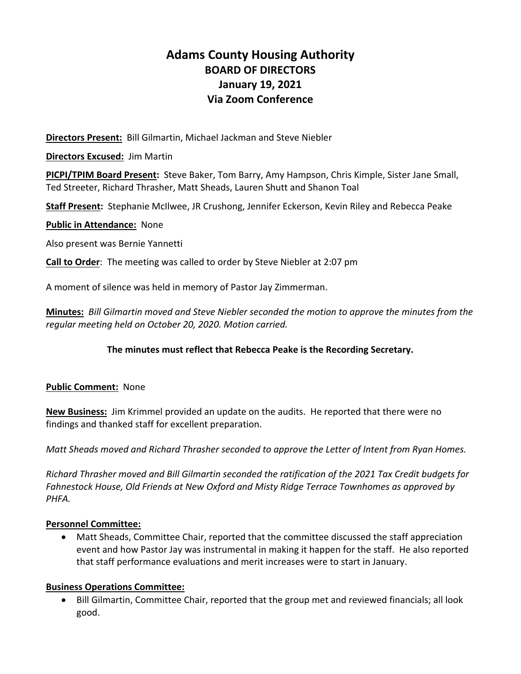# **Adams County Housing Authority BOARD OF DIRECTORS January 19, 2021 Via Zoom Conference**

**Directors Present:** Bill Gilmartin, Michael Jackman and Steve Niebler

**Directors Excused:** Jim Martin

**PICPI/TPIM Board Present:** Steve Baker, Tom Barry, Amy Hampson, Chris Kimple, Sister Jane Small, Ted Streeter, Richard Thrasher, Matt Sheads, Lauren Shutt and Shanon Toal

**Staff Present:** Stephanie McIlwee, JR Crushong, Jennifer Eckerson, Kevin Riley and Rebecca Peake

#### **Public in Attendance:** None

Also present was Bernie Yannetti

**Call to Order**: The meeting was called to order by Steve Niebler at 2:07 pm

A moment of silence was held in memory of Pastor Jay Zimmerman.

**Minutes:** *Bill Gilmartin moved and Steve Niebler seconded the motion to approve the minutes from the regular meeting held on October 20, 2020. Motion carried.* 

#### **The minutes must reflect that Rebecca Peake is the Recording Secretary.**

#### **Public Comment:** None

**New Business:** Jim Krimmel provided an update on the audits. He reported that there were no findings and thanked staff for excellent preparation.

*Matt Sheads moved and Richard Thrasher seconded to approve the Letter of Intent from Ryan Homes.* 

*Richard Thrasher moved and Bill Gilmartin seconded the ratification of the 2021 Tax Credit budgets for Fahnestock House, Old Friends at New Oxford and Misty Ridge Terrace Townhomes as approved by PHFA.* 

#### **Personnel Committee:**

 Matt Sheads, Committee Chair, reported that the committee discussed the staff appreciation event and how Pastor Jay was instrumental in making it happen for the staff. He also reported that staff performance evaluations and merit increases were to start in January.

#### **Business Operations Committee:**

 Bill Gilmartin, Committee Chair, reported that the group met and reviewed financials; all look good.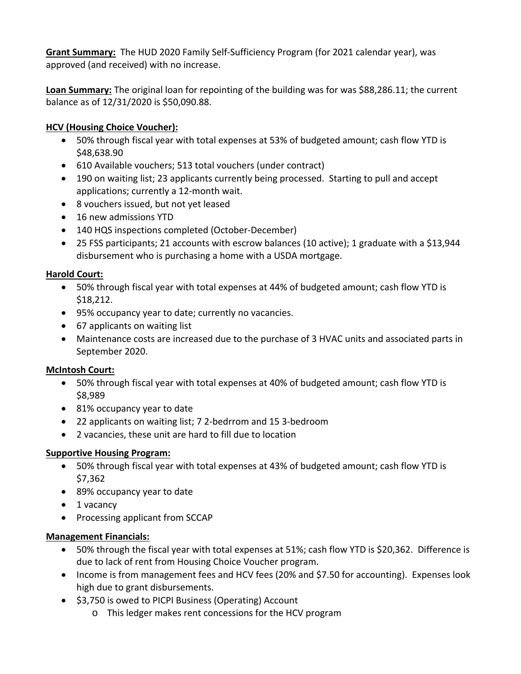**Grant Summary:** The HUD 2020 Family Self‐Sufficiency Program (for 2021 calendar year), was approved (and received) with no increase.

**Loan Summary:** The original loan for repointing of the building was for was \$88,286.11; the current balance as of 12/31/2020 is \$50,090.88.

### **HCV (Housing Choice Voucher):**

- 50% through fiscal year with total expenses at 53% of budgeted amount; cash flow YTD is \$48,638.90
- 610 Available vouchers; 513 total vouchers (under contract)
- 190 on waiting list; 23 applicants currently being processed. Starting to pull and accept applications; currently a 12‐month wait.
- 8 vouchers issued, but not yet leased
- 16 new admissions YTD
- 140 HQS inspections completed (October-December)
- 25 FSS participants; 21 accounts with escrow balances (10 active); 1 graduate with a \$13,944 disbursement who is purchasing a home with a USDA mortgage.

### **Harold Court:**

- 50% through fiscal year with total expenses at 44% of budgeted amount; cash flow YTD is \$18,212.
- 95% occupancy year to date; currently no vacancies.
- 67 applicants on waiting list
- Maintenance costs are increased due to the purchase of 3 HVAC units and associated parts in September 2020.

### **McIntosh Court:**

- 50% through fiscal year with total expenses at 40% of budgeted amount; cash flow YTD is \$8,989
- 81% occupancy year to date
- 22 applicants on waiting list; 7 2-bedrrom and 15 3-bedroom
- 2 vacancies, these unit are hard to fill due to location

## **Supportive Housing Program:**

- 50% through fiscal year with total expenses at 43% of budgeted amount; cash flow YTD is \$7,362
- 89% occupancy year to date
- 1 vacancy
- Processing applicant from SCCAP

### **Management Financials:**

- 50% through the fiscal year with total expenses at 51%; cash flow YTD is \$20,362. Difference is due to lack of rent from Housing Choice Voucher program.
- Income is from management fees and HCV fees (20% and \$7.50 for accounting). Expenses look high due to grant disbursements.
- $\bullet$  \$3,750 is owed to PICPI Business (Operating) Account
	- o This ledger makes rent concessions for the HCV program